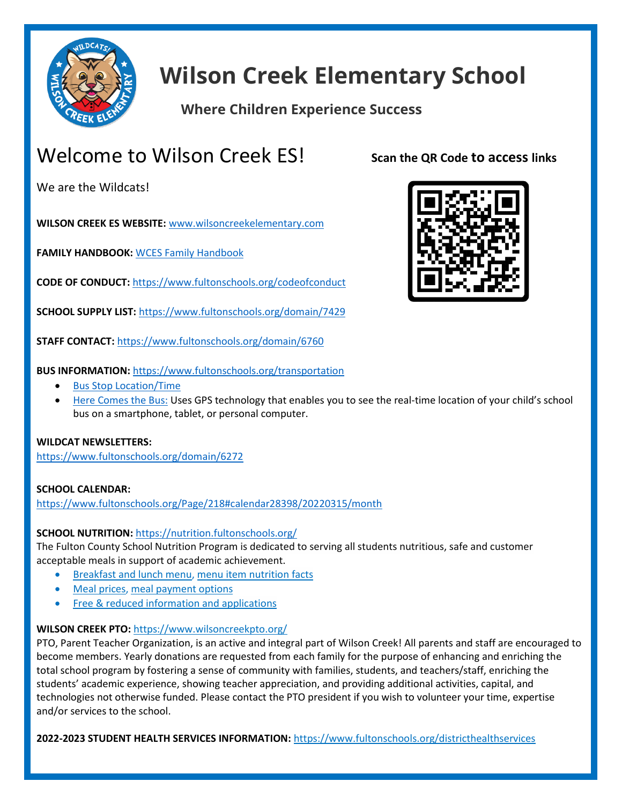

# **Wilson Creek Elementary School**

## **Where Children Experience Success**

## Welcome to Wilson Creek ES!

We are the Wildcats!

**WILSON CREEK ES WEBSITE:** [www.wilsoncreekelementary.com](http://www.wilsoncreekelementary.com/)

**FAMILY HANDBOOK:** [WCES Family Handbook](https://www.fultonschools.org/domain/8473)

**CODE OF CONDUCT:** <https://www.fultonschools.org/codeofconduct>

**SCHOOL SUPPLY LIST:** <https://www.fultonschools.org/domain/7429>

**STAFF CONTACT:** <https://www.fultonschools.org/domain/6760>



**Scan the QR Code to access links**

**BUS INFORMATION:** <https://www.fultonschools.org/transportation>

- [Bus Stop Location/Time](https://nam11.safelinks.protection.outlook.com/?url=http%3A%2F%2Fedulogweb.fultonschools.org%2Flivewq%2Fwebquery%2F&data=04%7C01%7Ckimj2%40fultonschools.org%7C2a118abf4d434eea4a7308d9e1acefbb%7C0cdcb19881694b70ba9fda7e3ba700c2%7C1%7C0%7C637788955143814978%7CUnknown%7CTWFpbGZsb3d8eyJWIjoiMC4wLjAwMDAiLCJQIjoiV2luMzIiLCJBTiI6Ik1haWwiLCJXVCI6Mn0%3D%7C3000&sdata=CgK91zUZD%2BpU15sEEl3fs%2Fr5%2BfEl7xu7D%2FCtHDp5UGE%3D&reserved=0)
- [Here Comes the Bus:](https://www.fultonschools.org/Page/7389) Uses GPS technology that enables you to see the real-time location of your child's school bus on a smartphone, tablet, or personal computer.

#### **WILDCAT NEWSLETTERS:**

<https://www.fultonschools.org/domain/6272>

#### **SCHOOL CALENDAR:**

<https://www.fultonschools.org/Page/218#calendar28398/20220315/month>

#### **SCHOOL NUTRITION:** <https://nutrition.fultonschools.org/>

The Fulton County School Nutrition Program is dedicated to serving all students nutritious, safe and customer acceptable meals in support of academic achievement.

- [Breakfast and lunch menu,](https://nutrition.fultonschools.org/MenuCalendar.aspx) [menu item nutrition facts](https://nutrition.fultonschools.org/NutrientAnalysis.aspx)
- [Meal prices,](https://nutrition.fultonschools.org/MealPrices.aspx) [meal payment options](https://nutrition.fultonschools.org/MyPaymentsPlusFaq.aspx)
- **[Free & reduced information and applications](https://nutrition.fultonschools.org/FreeAndReducedFAQ.aspx)**

#### **WILSON CREEK PTO:** <https://www.wilsoncreekpto.org/>

PTO, Parent Teacher Organization, is an active and integral part of Wilson Creek! All parents and staff are encouraged to become members. Yearly donations are requested from each family for the purpose of enhancing and enriching the total school program by fostering a sense of community with families, students, and teachers/staff, enriching the students' academic experience, showing teacher appreciation, and providing additional activities, capital, and technologies not otherwise funded. Please contact the PTO president if you wish to volunteer your time, expertise and/or services to the school.

**2022-2023 STUDENT HEALTH SERVICES INFORMATION:** <https://www.fultonschools.org/districthealthservices>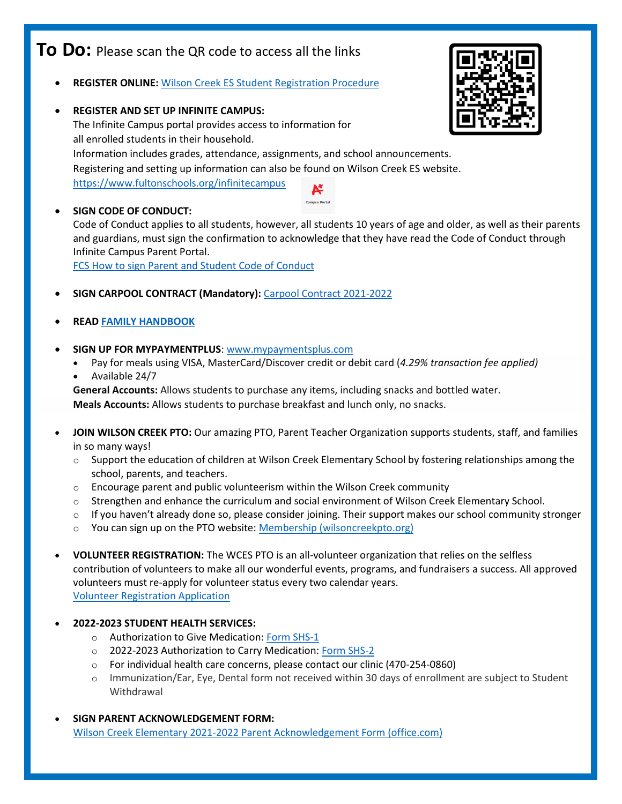## **To Do:** Please scan the QR code to access all the links

- **REGISTER ONLINE:** [Wilson Creek ES Student Registration Procedure](file:///C:/Users/kimj2/OneDrive%20-%20Fulton%20County%20Schools/Desktop/WCES/New%20Family%20Packet/WCES%20Registration%20Info.pdf)
- **REGISTER AND SET UP INFINITE CAMPUS:**  The Infinite Campus portal provides access to information for all enrolled students in their household. Information includes grades, attendance, assignments, and school announcements. Registering and setting up information can also be found on Wilson Creek ES website. <https://www.fultonschools.org/infinitecampus> Ķ

• **SIGN CODE OF CONDUCT:**  Code of Conduct applies to all students, however, all students 10 years of age and older, as well as their parents and guardians, must sign the confirmation to acknowledge that they have read the Code of Conduct through Infinite Campus Parent Portal.

**Campus Portal** 

FCS How to [sign Parent](https://fultonk12-my.sharepoint.com/:w:/g/personal/haga_fultonschools_org/EVNrC92EnThGrxpa0eLhmxYBPlIoLZyON2CsR8NxFdaghw?e=hQ9KPb) and Student Code of Conduct

- **SIGN CARPOOL CONTRACT (Mandatory):** Carpool [Contract 2021-2022](file:///C:/Users/kimj2/OneDrive%20-%20Fulton%20County%20Schools/Desktop/WCES/New%20Family%20Packet/carpool_contract%202021-2022.pdf)
- **REA[D FAMILY HANDBOOK](https://www.fultonschools.org/domain/8473)**
- **SIGN UP FOR MYPAYMENTPLUS**: [www.mypaymentsplus.com](http://www.mypaymentsplus.com/)
	- Pay for meals using VISA, MasterCard/Discover credit or debit card (*4.29% transaction fee applied)*
	- Available 24/7

**General Accounts:** Allows students to purchase any items, including snacks and bottled water. **Meals Accounts:** Allows students to purchase breakfast and lunch only, no snacks.

- **JOIN WILSON CREEK PTO:** Our amazing PTO, Parent Teacher Organization supports students, staff, and families in so many ways!
	- $\circ$  Support the education of children at Wilson Creek Elementary School by fostering relationships among the school, parents, and teachers.
	- $\circ$  Encourage parent and public volunteerism within the Wilson Creek community
	- $\circ$  Strengthen and enhance the curriculum and social environment of Wilson Creek Elementary School.
	- $\circ$  If you haven't already done so, please consider joining. Their support makes our school community stronger
	- o You can sign up on the PTO website: [Membership \(wilsoncreekpto.org\)](https://nam11.safelinks.protection.outlook.com/?url=https%3A%2F%2Fwww.wilsoncreekpto.org%2Fmembership%2F&data=04%7C01%7Ckimj2%40fultonschools.org%7C2a118abf4d434eea4a7308d9e1acefbb%7C0cdcb19881694b70ba9fda7e3ba700c2%7C1%7C0%7C637788955143814978%7CUnknown%7CTWFpbGZsb3d8eyJWIjoiMC4wLjAwMDAiLCJQIjoiV2luMzIiLCJBTiI6Ik1haWwiLCJXVCI6Mn0%3D%7C3000&sdata=dNGiPSAQdmzxn9PEUBoXV1XkcfiJs%2Fu48owxBIERDQQ%3D&reserved=0)
- **VOLUNTEER REGISTRATION:** The WCES PTO is an all-volunteer organization that relies on the selfless contribution of volunteers to make all our wonderful events, programs, and fundraisers a success. All approved volunteers must re-apply for volunteer status every two calendar years. [Volunteer Registration Application](https://www.fultonschools.org/Page/899)
- **2022-2023 STUDENT HEALTH SERVICES:**
	- o Authorization to Give Medication: Form [SHS-1](https://www.fultonschools.org/cms/lib/GA50000114/Centricity/Domain/267/Auth%20Med%20Form%20SHS1.pdf)
	- o 2022-2023 Authorization to Carry Medication: [Form SHS-2](https://www.fultonschools.org/cms/lib/GA50000114/Centricity/Domain/267/Auth%20To%20Carry%20Med%20Form%20SHS2%20May%202019.pdf)
	- o For individual health care concerns, please contact our clinic (470-254-0860)
	- o Immunization/Ear, Eye, Dental form not received within 30 days of enrollment are subject to Student Withdrawal
- **SIGN PARENT ACKNOWLEDGEMENT FORM:** [Wilson Creek Elementary 2021-2022 Parent Acknowledgement Form \(office.com\)](https://forms.office.com/Pages/ResponsePage.aspx?id=mLHcDGmBcEu6n9p-O6cAwtNYOaqfs15IgG6LqZ_AhZ5UNENBNlVXMlE0UkdBSjUwQUY3UzdESzlTVC4u&wdLOR=c8043BA58-ADA4-4ACD-A3E3-0B0ABE93593B)

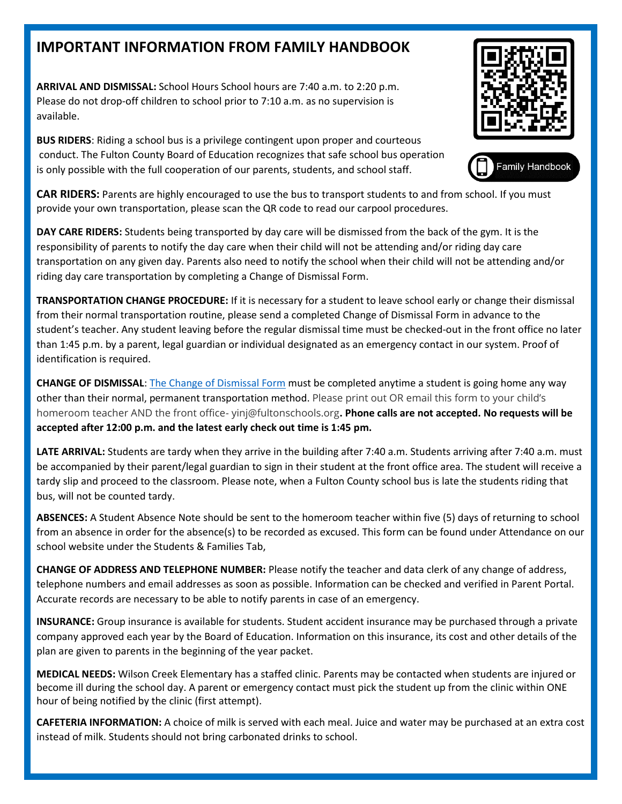## **IMPORTANT INFORMATION FROM FAMILY HANDBOOK**

**ARRIVAL AND DISMISSAL:** School Hours School hours are 7:40 a.m. to 2:20 p.m. Please do not drop-off children to school prior to 7:10 a.m. as no supervision is available.

**BUS RIDERS**: Riding a school bus is a privilege contingent upon proper and courteous conduct. The Fulton County Board of Education recognizes that safe school bus operation is only possible with the full cooperation of our parents, students, and school staff.





**CAR RIDERS:** Parents are highly encouraged to use the bus to transport students to and from school. If you must provide your own transportation, please scan the QR code to read our carpool procedures.

**DAY CARE RIDERS:** Students being transported by day care will be dismissed from the back of the gym. It is the responsibility of parents to notify the day care when their child will not be attending and/or riding day care transportation on any given day. Parents also need to notify the school when their child will not be attending and/or riding day care transportation by completing a Change of Dismissal Form.

**TRANSPORTATION CHANGE PROCEDURE:** If it is necessary for a student to leave school early or change their dismissal from their normal transportation routine, please send a completed Change of Dismissal Form in advance to the student's teacher. Any student leaving before the regular dismissal time must be checked-out in the front office no later than 1:45 p.m. by a parent, legal guardian or individual designated as an emergency contact in our system. Proof of identification is required.

**CHANGE OF DISMISSAL**: [The Change of Dismissal Form](https://www.fultonschools.org/cms/lib/GA50000114/Centricity/ModuleInstance/34845/Change%20of%20Dismissal%20Final.pdf) must be completed anytime a student is going home any way other than their normal, permanent transportation method. Please print out OR email this form to your child's homeroom teacher AND the front office- yinj@fultonschools.org**. Phone calls are not accepted. No requests will be accepted after 12:00 p.m. and the latest early check out time is 1:45 pm.**

**LATE ARRIVAL:** Students are tardy when they arrive in the building after 7:40 a.m. Students arriving after 7:40 a.m. must be accompanied by their parent/legal guardian to sign in their student at the front office area. The student will receive a tardy slip and proceed to the classroom. Please note, when a Fulton County school bus is late the students riding that bus, will not be counted tardy.

**ABSENCES:** A Student Absence Note should be sent to the homeroom teacher within five (5) days of returning to school from an absence in order for the absence(s) to be recorded as excused. This form can be found under Attendance on our school website under the Students & Families Tab,

**CHANGE OF ADDRESS AND TELEPHONE NUMBER:** Please notify the teacher and data clerk of any change of address, telephone numbers and email addresses as soon as possible. Information can be checked and verified in Parent Portal. Accurate records are necessary to be able to notify parents in case of an emergency.

**INSURANCE:** Group insurance is available for students. Student accident insurance may be purchased through a private company approved each year by the Board of Education. Information on this insurance, its cost and other details of the plan are given to parents in the beginning of the year packet.

**MEDICAL NEEDS:** Wilson Creek Elementary has a staffed clinic. Parents may be contacted when students are injured or become ill during the school day. A parent or emergency contact must pick the student up from the clinic within ONE hour of being notified by the clinic (first attempt).

**CAFETERIA INFORMATION:** A choice of milk is served with each meal. Juice and water may be purchased at an extra cost instead of milk. Students should not bring carbonated drinks to school.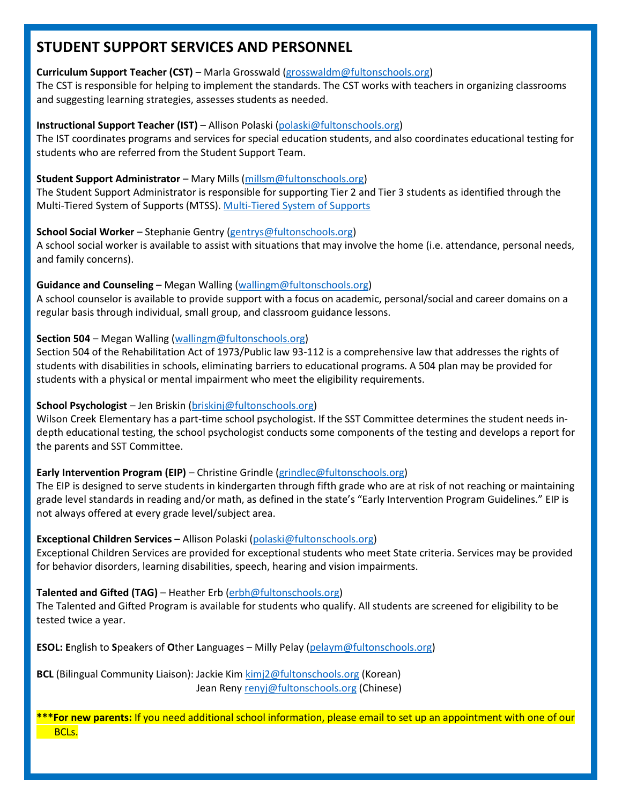## **STUDENT SUPPORT SERVICES AND PERSONNEL**

#### **Curriculum Support Teacher (CST)** – Marla Grosswald [\(grosswaldm@fultonschools.org\)](mailto:grosswaldm@fultonschools.org)

The CST is responsible for helping to implement the standards. The CST works with teachers in organizing classrooms and suggesting learning strategies, assesses students as needed.

#### **Instructional Support Teacher (IST)** – Allison Polaski [\(polaski@fultonschools.org\)](mailto:polaski@fultonschools.org)

The IST coordinates programs and services for special education students, and also coordinates educational testing for students who are referred from the Student Support Team.

#### **Student Support Administrator** – Mary Mills [\(millsm@fultonschools.org\)](mailto:millsm@fultonschools.org)

The Student Support Administrator is responsible for supporting Tier 2 and Tier 3 students as identified through the Multi-Tiered System of Supports (MTSS). Multi-Tiered [System of Supports](https://nam11.safelinks.protection.outlook.com/?url=https%3A%2F%2Fwww.gadoe.org%2Fwholechild%2FPages%2FTieredSystemofSupports.aspx&data=05%7C01%7Ckimj2%40fultonschools.org%7Cf02a1102ec484eacdd5508da32baed38%7C0cdcb19881694b70ba9fda7e3ba700c2%7C1%7C0%7C637878075662899094%7CUnknown%7CTWFpbGZsb3d8eyJWIjoiMC4wLjAwMDAiLCJQIjoiV2luMzIiLCJBTiI6Ik1haWwiLCJXVCI6Mn0%3D%7C3000%7C%7C%7C&sdata=dswMiVqI6Zl7iZ%2Fo9AM%2FCW%2BjnxtyYgE%2BssfHex%2F7%2BoE%3D&reserved=0)

#### **School Social Worker** – Stephanie Gentry [\(gentrys@fultonschools.org\)](mailto:gentrys@fultonschools.org)

A school social worker is available to assist with situations that may involve the home (i.e. attendance, personal needs, and family concerns).

#### **Guidance and Counseling** – Megan Walling [\(wallingm@fultonschools.org\)](mailto:wallingm@fultonschools.org)

A school counselor is available to provide support with a focus on academic, personal/social and career domains on a regular basis through individual, small group, and classroom guidance lessons.

#### **Section 504** – Megan Walling [\(wallingm@fultonschools.org\)](mailto:wallingm@fultonschools.org)

Section 504 of the Rehabilitation Act of 1973/Public law 93-112 is a comprehensive law that addresses the rights of students with disabilities in schools, eliminating barriers to educational programs. A 504 plan may be provided for students with a physical or mental impairment who meet the eligibility requirements.

#### **School Psychologist** – Jen Briskin [\(briskinj@fultonschools.org\)](mailto:briskinj@fultonschools.org)

Wilson Creek Elementary has a part-time school psychologist. If the SST Committee determines the student needs indepth educational testing, the school psychologist conducts some components of the testing and develops a report for the parents and SST Committee.

#### **Early Intervention Program (EIP)** – Christine Grindle [\(grindlec@fultonschools.org\)](mailto:grindlec@fultonschools.org)

The EIP is designed to serve students in kindergarten through fifth grade who are at risk of not reaching or maintaining grade level standards in reading and/or math, as defined in the state's "Early Intervention Program Guidelines." EIP is not always offered at every grade level/subject area.

#### **Exceptional Children Services** – Allison Polaski [\(polaski@fultonschools.org\)](mailto:polaski@fultonschools.org)

Exceptional Children Services are provided for exceptional students who meet State criteria. Services may be provided for behavior disorders, learning disabilities, speech, hearing and vision impairments.

#### **Talented and Gifted (TAG)** – Heather Erb [\(erbh@fultonschools.org\)](mailto:erbh@fultonschools.org)

The Talented and Gifted Program is available for students who qualify. All students are screened for eligibility to be tested twice a year.

**ESOL: E**nglish to **S**peakers of **O**ther **L**anguages – Milly Pelay [\(pelaym@fultonschools.org\)](mailto:pelaym@fultonschools.org)

**BCL** (Bilingual Community Liaison): Jackie Ki[m kimj2@fultonschools.org](mailto:kimj2@fultonschools.org) (Korean) Jean Reny [renyj@fultonschools.org](mailto:renyj@fultonschools.org) (Chinese)

**\*\*\*For new parents:** If you need additional school information, please email to set up an appointment with one of our BCLs.